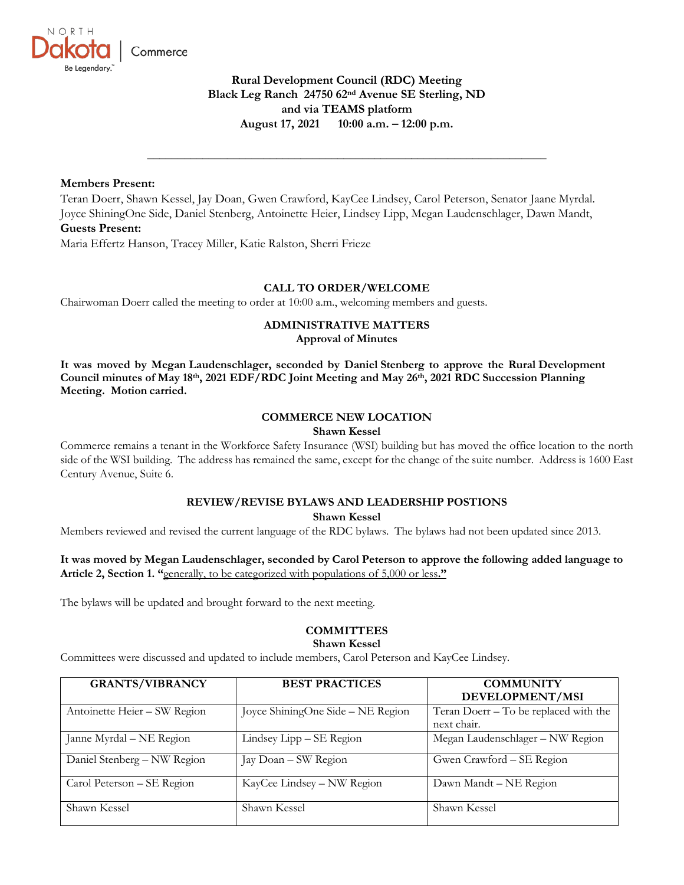

# **Rural Development Council (RDC) Meeting Black Leg Ranch 24750 62nd Avenue SE Sterling, ND and via TEAMS platform August 17, 2021 10:00 a.m. – 12:00 p.m.**

**\_\_\_\_\_\_\_\_\_\_\_\_\_\_\_\_\_\_\_\_\_\_\_\_\_\_\_\_\_\_\_\_\_\_\_\_\_\_\_\_\_\_\_\_\_\_\_\_\_\_\_\_\_\_\_\_\_\_\_\_\_\_\_\_\_**

## **Members Present:**

Teran Doerr, Shawn Kessel, Jay Doan, Gwen Crawford, KayCee Lindsey, Carol Peterson, Senator Jaane Myrdal. Joyce ShiningOne Side, Daniel Stenberg, Antoinette Heier, Lindsey Lipp, Megan Laudenschlager, Dawn Mandt, **Guests Present:**

Maria Effertz Hanson, Tracey Miller, Katie Ralston, Sherri Frieze

## **CALL TO ORDER/WELCOME**

Chairwoman Doerr called the meeting to order at 10:00 a.m., welcoming members and guests.

# **ADMINISTRATIVE MATTERS**

**Approval of Minutes**

**It was moved by Megan Laudenschlager, seconded by Daniel Stenberg to approve the Rural Development Council minutes of May 18th, 2021 EDF/RDC Joint Meeting and May 26th, 2021 RDC Succession Planning Meeting. Motion carried.**

## **COMMERCE NEW LOCATION**

## **Shawn Kessel**

Commerce remains a tenant in the Workforce Safety Insurance (WSI) building but has moved the office location to the north side of the WSI building. The address has remained the same, except for the change of the suite number. Address is 1600 East Century Avenue, Suite 6.

## **REVIEW/REVISE BYLAWS AND LEADERSHIP POSTIONS**

**Shawn Kessel**

Members reviewed and revised the current language of the RDC bylaws. The bylaws had not been updated since 2013.

## **It was moved by Megan Laudenschlager, seconded by Carol Peterson to approve the following added language to Article 2, Section 1. "**generally, to be categorized with populations of 5,000 or less**."**

The bylaws will be updated and brought forward to the next meeting.

## **COMMITTEES**

## **Shawn Kessel**

Committees were discussed and updated to include members, Carol Peterson and KayCee Lindsey.

| <b>GRANTS/VIBRANCY</b>       | <b>BEST PRACTICES</b>             | <b>COMMUNITY</b>                      |
|------------------------------|-----------------------------------|---------------------------------------|
|                              |                                   | DEVELOPMENT/MSI                       |
| Antoinette Heier - SW Region | Joyce ShiningOne Side - NE Region | Teran Doerr – To be replaced with the |
|                              |                                   | next chair.                           |
| Janne Myrdal - NE Region     | Lindsey Lipp – SE Region          | Megan Laudenschlager - NW Region      |
| Daniel Stenberg - NW Region  | Jay Doan - SW Region              | Gwen Crawford - SE Region             |
| Carol Peterson - SE Region   | KayCee Lindsey - NW Region        | Dawn Mandt - NE Region                |
| Shawn Kessel                 | Shawn Kessel                      | Shawn Kessel                          |